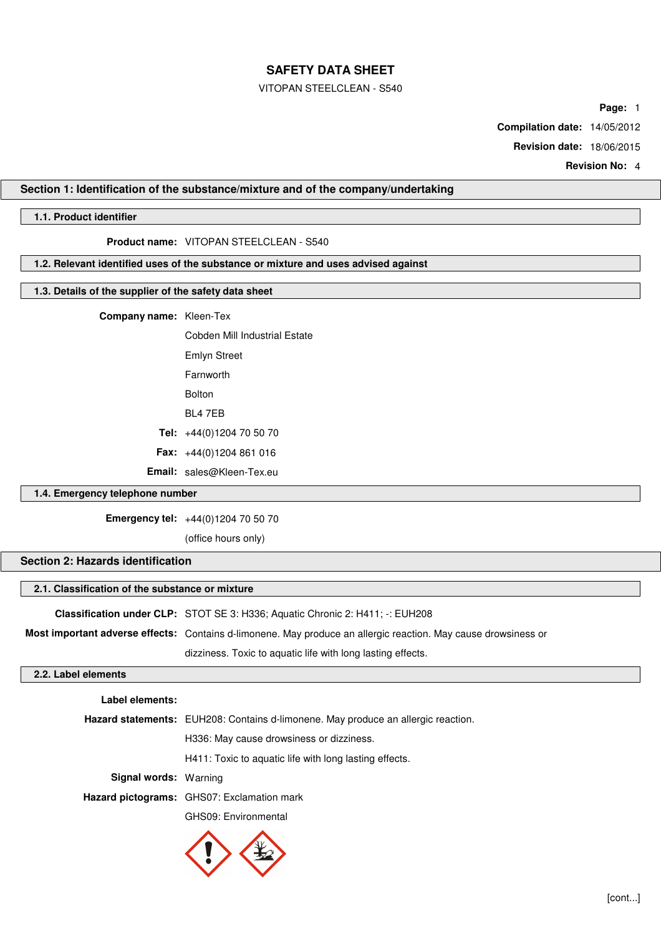#### VITOPAN STEELCLEAN - S540

**Page:** 1

**Compilation date:** 14/05/2012

**Revision date:** 18/06/2015

**Revision No:** 4

# **Section 1: Identification of the substance/mixture and of the company/undertaking**

## **1.1. Product identifier**

**Product name:** VITOPAN STEELCLEAN - S540

**1.2. Relevant identified uses of the substance or mixture and uses advised against**

## **1.3. Details of the supplier of the safety data sheet**

**Company name:** Kleen-Tex

Cobden Mill Industrial Estate Emlyn Street Farnworth Bolton BL4 7EB **Tel:** +44(0)1204 70 50 70 **Fax:** +44(0)1204 861 016 **Email:** sales@Kleen-Tex.eu

## **1.4. Emergency telephone number**

**Emergency tel:** +44(0)1204 70 50 70

(office hours only)

## **Section 2: Hazards identification**

#### **2.1. Classification of the substance or mixture**

**Classification under CLP:** STOT SE 3: H336; Aquatic Chronic 2: H411; -: EUH208 **Most important adverse effects:** Contains d-limonene. May produce an allergic reaction. May cause drowsiness or dizziness. Toxic to aquatic life with long lasting effects.

# **2.2. Label elements**

| Label elements:              |                                                                                   |
|------------------------------|-----------------------------------------------------------------------------------|
|                              | Hazard statements: EUH208: Contains d-limonene. May produce an allergic reaction. |
|                              | H336: May cause drowsiness or dizziness.                                          |
|                              | H411: Toxic to aquatic life with long lasting effects.                            |
| <b>Signal words: Warning</b> |                                                                                   |
|                              | Hazard pictograms: GHS07: Exclamation mark                                        |
|                              |                                                                                   |

GHS09: Environmental

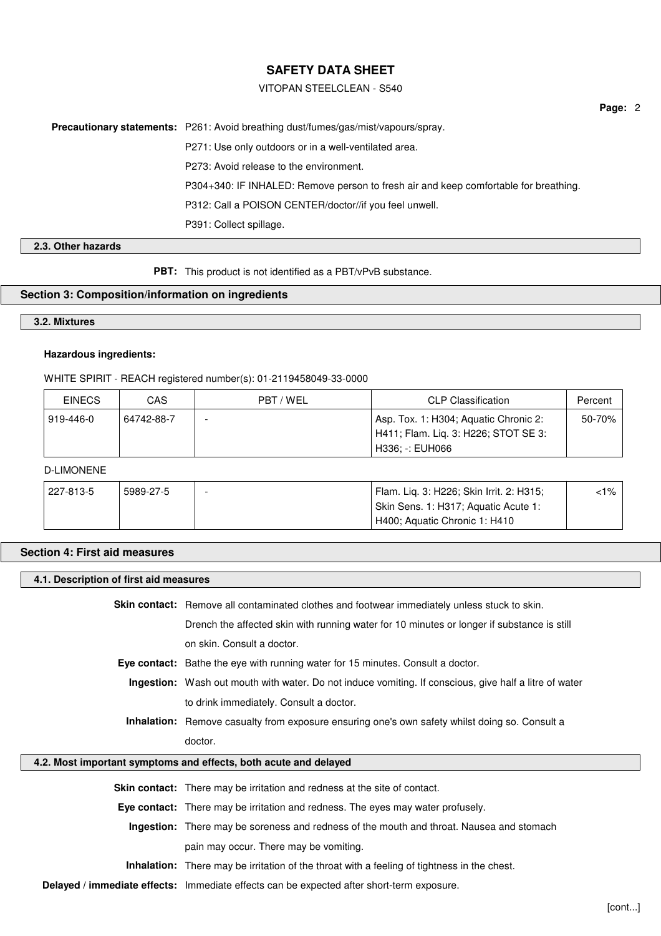### VITOPAN STEELCLEAN - S540

**Page:** 2

**Precautionary statements:** P261: Avoid breathing dust/fumes/gas/mist/vapours/spray. P271: Use only outdoors or in a well-ventilated area. P273: Avoid release to the environment. P304+340: IF INHALED: Remove person to fresh air and keep comfortable for breathing.

P312: Call a POISON CENTER/doctor//if you feel unwell.

P391: Collect spillage.

# **2.3. Other hazards**

**PBT:** This product is not identified as a PBT/vPvB substance.

# **Section 3: Composition/information on ingredients**

# **3.2. Mixtures**

### **Hazardous ingredients:**

WHITE SPIRIT - REACH registered number(s): 01-2119458049-33-0000

| <b>EINECS</b> | CAS        | PBT / WEL | <b>CLP Classification</b>                                                                          | Percent |
|---------------|------------|-----------|----------------------------------------------------------------------------------------------------|---------|
| 919-446-0     | 64742-88-7 |           | Asp. Tox. 1: H304; Aquatic Chronic 2:<br>H411; Flam. Liq. 3: H226; STOT SE 3:<br>' H336: -: EUH066 | 50-70%  |

# D-LIMONENE

| 227-813-5 | 5989-27-5 | Flam. Lig. 3: H226; Skin Irrit. 2: H315; | <1% |
|-----------|-----------|------------------------------------------|-----|
|           |           | Skin Sens. 1: H317; Aquatic Acute 1:     |     |
|           |           | H400; Aquatic Chronic 1: H410            |     |

#### **Section 4: First aid measures**

| 4.1. Description of first aid measures |                                                                                                        |  |
|----------------------------------------|--------------------------------------------------------------------------------------------------------|--|
|                                        | <b>Skin contact:</b> Remove all contaminated clothes and footwear immediately unless stuck to skin.    |  |
|                                        | Drench the affected skin with running water for 10 minutes or longer if substance is still             |  |
|                                        | on skin. Consult a doctor.                                                                             |  |
|                                        | Eye contact: Bathe the eye with running water for 15 minutes. Consult a doctor.                        |  |
|                                        | Ingestion: Wash out mouth with water. Do not induce vomiting. If conscious, give half a litre of water |  |
|                                        | to drink immediately. Consult a doctor.                                                                |  |
|                                        | <b>Inhalation:</b> Remove casualty from exposure ensuring one's own safety whilst doing so. Consult a  |  |
|                                        | doctor.                                                                                                |  |
|                                        | 4.2. Most important symptoms and effects, both acute and delayed                                       |  |
|                                        | Skin contact: There may be irritation and redness at the site of contact.                              |  |
|                                        | Eye contact: There may be irritation and redness. The eyes may water profusely.                        |  |
|                                        | Ingestion: There may be soreness and redness of the mouth and throat. Nausea and stomach               |  |
|                                        | pain may occur. There may be vomiting.                                                                 |  |
|                                        | <b>Inhalation:</b> There may be irritation of the throat with a feeling of tightness in the chest.     |  |
|                                        | Delayed / immediate effects: Immediate effects can be expected after short-term exposure.              |  |
|                                        |                                                                                                        |  |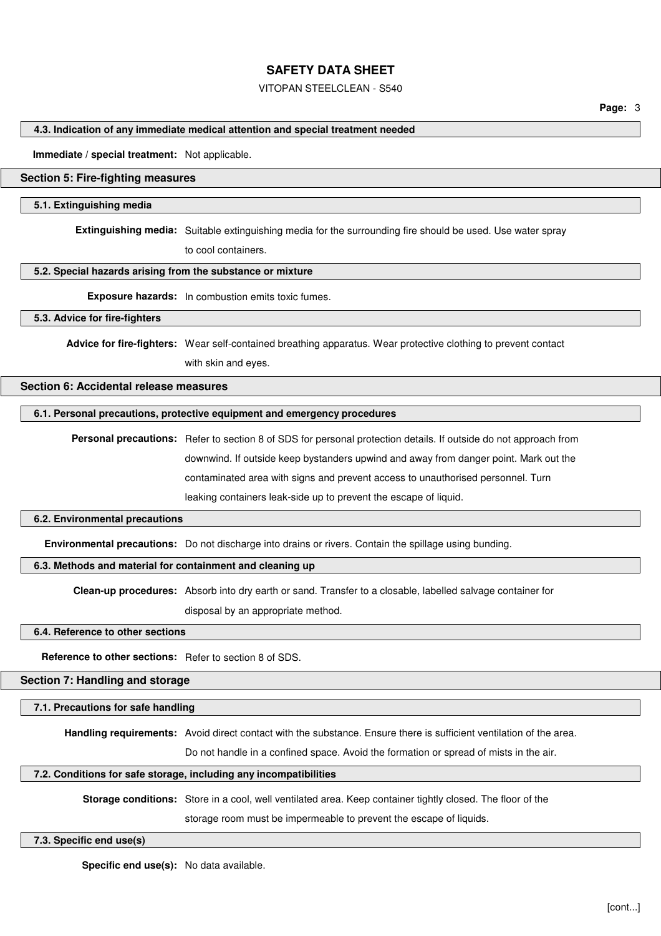#### VITOPAN STEELCLEAN - S540

### **4.3. Indication of any immediate medical attention and special treatment needed**

#### **Immediate / special treatment:** Not applicable.

#### **Section 5: Fire-fighting measures**

#### **5.1. Extinguishing media**

**Extinguishing media:** Suitable extinguishing media for the surrounding fire should be used. Use water spray

to cool containers.

#### **5.2. Special hazards arising from the substance or mixture**

**Exposure hazards:** In combustion emits toxic fumes.

#### **5.3. Advice for fire-fighters**

**Advice for fire-fighters:** Wear self-contained breathing apparatus. Wear protective clothing to prevent contact with skin and eyes.

# **Section 6: Accidental release measures**

#### **6.1. Personal precautions, protective equipment and emergency procedures**

**Personal precautions:** Refer to section 8 of SDS for personal protection details. If outside do not approach from downwind. If outside keep bystanders upwind and away from danger point. Mark out the contaminated area with signs and prevent access to unauthorised personnel. Turn leaking containers leak-side up to prevent the escape of liquid.

#### **6.2. Environmental precautions**

**Environmental precautions:** Do not discharge into drains or rivers. Contain the spillage using bunding.

### **6.3. Methods and material for containment and cleaning up**

**Clean-up procedures:** Absorb into dry earth or sand. Transfer to a closable, labelled salvage container for

disposal by an appropriate method.

**6.4. Reference to other sections**

**Reference to other sections:** Refer to section 8 of SDS.

# **Section 7: Handling and storage**

**7.1. Precautions for safe handling**

**Handling requirements:** Avoid direct contact with the substance. Ensure there is sufficient ventilation of the area.

Do not handle in a confined space. Avoid the formation or spread of mists in the air.

#### **7.2. Conditions for safe storage, including any incompatibilities**

**Storage conditions:** Store in a cool, well ventilated area. Keep container tightly closed. The floor of the

storage room must be impermeable to prevent the escape of liquids.

#### **7.3. Specific end use(s)**

**Specific end use(s):** No data available.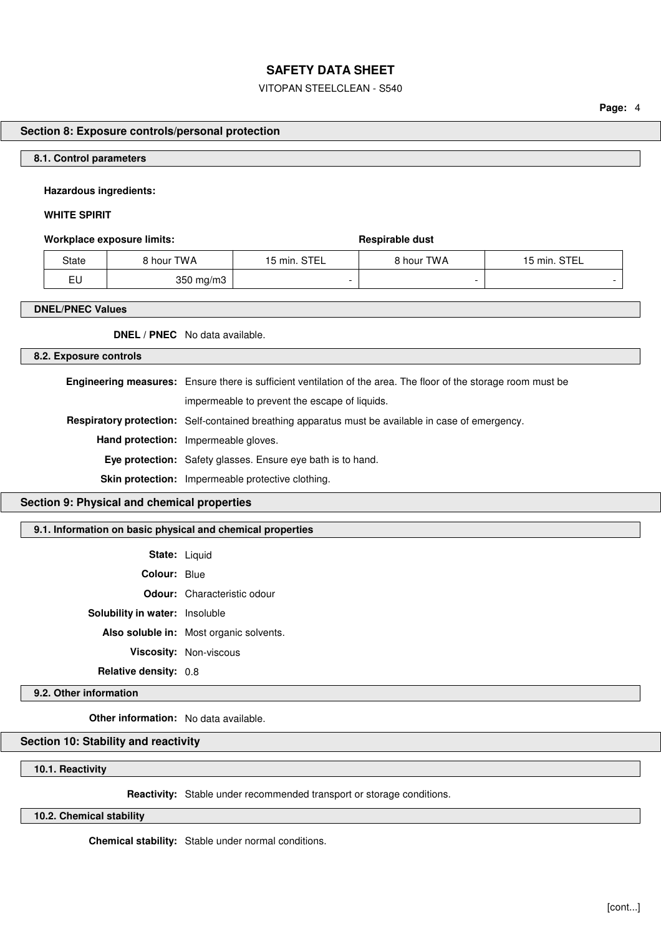#### VITOPAN STEELCLEAN - S540

**Page:** 4

# **Section 8: Exposure controls/personal protection**

#### **8.1. Control parameters**

#### **Hazardous ingredients:**

## **WHITE SPIRIT**

#### **Workplace exposure limits: Respirable dust Respirable dust**

| State | 8 hour TWA         | 15 min. STEL | 8 hour TWA | 15 min. STEL |
|-------|--------------------|--------------|------------|--------------|
| EU    | $350 \text{ mg/m}$ |              |            |              |

#### **DNEL/PNEC Values**

**DNEL / PNEC** No data available.

### **8.2. Exposure controls**

| <b>Engineering measures:</b> Ensure there is sufficient ventilation of the area. The floor of the storage room must be |  |
|------------------------------------------------------------------------------------------------------------------------|--|
| impermeable to prevent the escape of liquids.                                                                          |  |
| <b>Respiratory protection:</b> Self-contained breathing apparatus must be available in case of emergency.              |  |
| <b>Hand protection:</b> Impermeable gloves.                                                                            |  |
| <b>Eye protection:</b> Safety glasses. Ensure eye bath is to hand.                                                     |  |
| <b>Skin protection:</b> Impermeable protective clothing.                                                               |  |

# **Section 9: Physical and chemical properties**

## **9.1. Information on basic physical and chemical properties**

| <b>State: Liquid</b>                  |                                    |
|---------------------------------------|------------------------------------|
| <b>Colour: Blue</b>                   |                                    |
|                                       | <b>Odour:</b> Characteristic odour |
| <b>Solubility in water:</b> Insoluble |                                    |
|                                       |                                    |

**Also soluble in:** Most organic solvents. **Viscosity:** Non-viscous **Relative density:** 0.8

#### **9.2. Other information**

**Other information:** No data available.

## **Section 10: Stability and reactivity**

**10.1. Reactivity**

**Reactivity:** Stable under recommended transport or storage conditions.

**10.2. Chemical stability**

**Chemical stability:** Stable under normal conditions.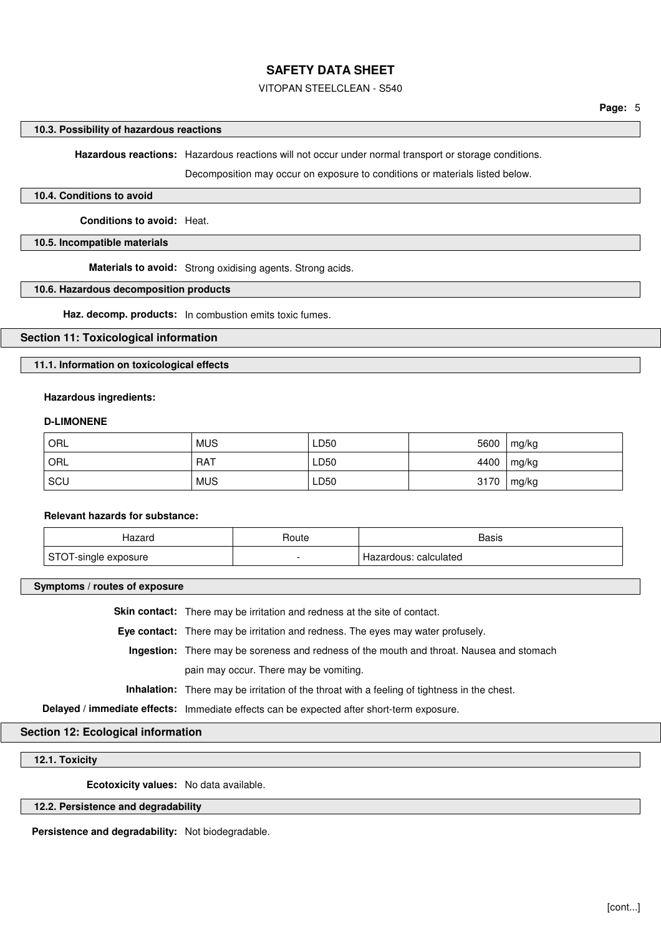## VITOPAN STEELCLEAN - S540

#### **10.3. Possibility of hazardous reactions**

**Hazardous reactions:** Hazardous reactions will not occur under normal transport or storage conditions.

Decomposition may occur on exposure to conditions or materials listed below.

#### **10.4. Conditions to avoid**

**Conditions to avoid:** Heat.

#### **10.5. Incompatible materials**

**Materials to avoid:** Strong oxidising agents. Strong acids.

#### **10.6. Hazardous decomposition products**

**Haz. decomp. products:** In combustion emits toxic fumes.

### **Section 11: Toxicological information**

**11.1. Information on toxicological effects**

#### **Hazardous ingredients:**

#### **D-LIMONENE**

| ORL | <b>MUS</b> | LD50 | 5600 | mg/kg |
|-----|------------|------|------|-------|
| ORL | <b>RAT</b> | LD50 | 4400 | mg/kg |
| SCU | <b>MUS</b> | LD50 | 3170 | mg/kg |

#### **Relevant hazards for substance:**

| Hazard                             | Route | Basis                 |
|------------------------------------|-------|-----------------------|
| $\sim$<br>T-single exposure<br>- - |       | Hazardous: calculated |

**Symptoms / routes of exposure**

**Skin contact:** There may be irritation and redness at the site of contact.

**Eye contact:** There may be irritation and redness. The eyes may water profusely.

**Ingestion:** There may be soreness and redness of the mouth and throat. Nausea and stomach pain may occur. There may be vomiting.

**Inhalation:** There may be irritation of the throat with a feeling of tightness in the chest.

**Delayed / immediate effects:** Immediate effects can be expected after short-term exposure.

## **Section 12: Ecological information**

**12.1. Toxicity**

**Ecotoxicity values:** No data available.

### **12.2. Persistence and degradability**

**Persistence and degradability:** Not biodegradable.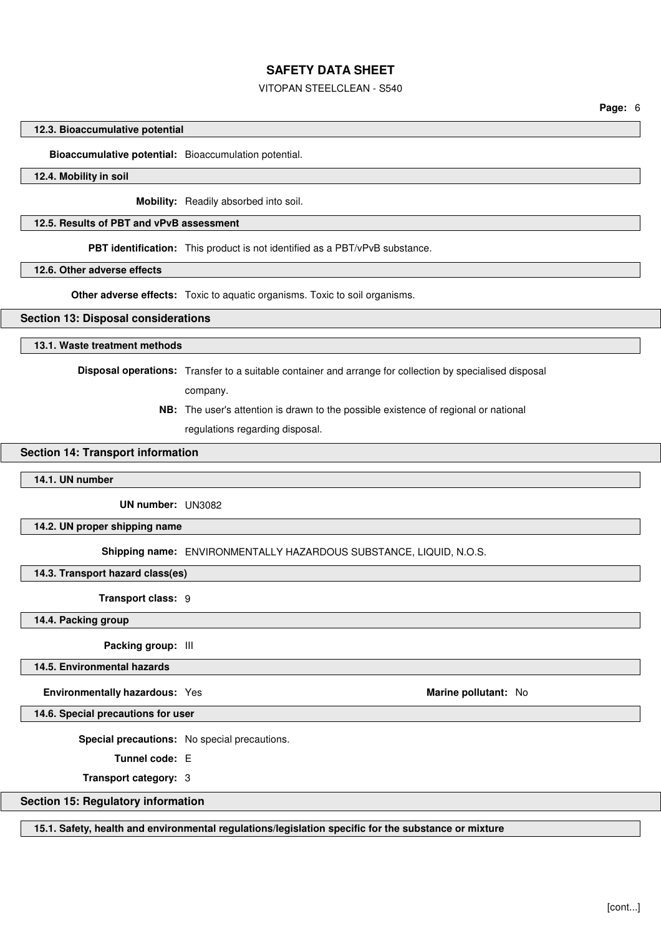### VITOPAN STEELCLEAN - S540

**Page:** 6

#### **12.3. Bioaccumulative potential**

**Bioaccumulative potential:** Bioaccumulation potential.

## **12.4. Mobility in soil**

**Mobility:** Readily absorbed into soil.

#### **12.5. Results of PBT and vPvB assessment**

**PBT identification:** This product is not identified as a PBT/vPvB substance.

**12.6. Other adverse effects**

**Other adverse effects:** Toxic to aquatic organisms. Toxic to soil organisms.

#### **Section 13: Disposal considerations**

#### **13.1. Waste treatment methods**

**Disposal operations:** Transfer to a suitable container and arrange for collection by specialised disposal

company.

**NB:** The user's attention is drawn to the possible existence of regional or national

regulations regarding disposal.

#### **Section 14: Transport information**

## **14.1. UN number**

**UN number:** UN3082

**14.2. UN proper shipping name**

**Shipping name:** ENVIRONMENTALLY HAZARDOUS SUBSTANCE, LIQUID, N.O.S.

**14.3. Transport hazard class(es)**

**Transport class:** 9

**14.4. Packing group**

**Packing group:** III

**14.5. Environmental hazards**

**Environmentally hazardous:** Yes **Marine pollutant:** No marine pollutant: No

**14.6. Special precautions for user**

**Special precautions:** No special precautions.

**Tunnel code:** E

**Transport category:** 3

## **Section 15: Regulatory information**

**15.1. Safety, health and environmental regulations/legislation specific for the substance or mixture**